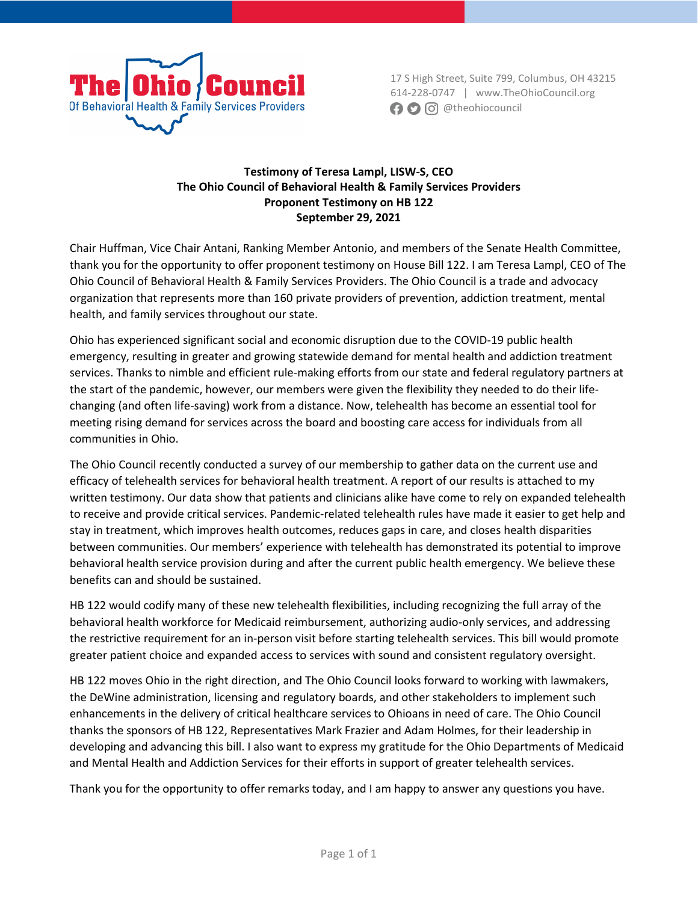

17 S High Street, Suite 799, Columbus, OH 43215 614-228-0747 | www.TheOhioCouncil.org **a**  $\bigcirc$   $\bigcirc$  @theohiocouncil

#### **Testimony of Teresa Lampl, LISW-S, CEO The Ohio Council of Behavioral Health & Family Services Providers Proponent Testimony on HB 122 September 29, 2021**

Chair Huffman, Vice Chair Antani, Ranking Member Antonio, and members of the Senate Health Committee, thank you for the opportunity to offer proponent testimony on House Bill 122. I am Teresa Lampl, CEO of The Ohio Council of Behavioral Health & Family Services Providers. The Ohio Council is a trade and advocacy organization that represents more than 160 private providers of prevention, addiction treatment, mental health, and family services throughout our state.

Ohio has experienced significant social and economic disruption due to the COVID-19 public health emergency, resulting in greater and growing statewide demand for mental health and addiction treatment services. Thanks to nimble and efficient rule-making efforts from our state and federal regulatory partners at the start of the pandemic, however, our members were given the flexibility they needed to do their lifechanging (and often life-saving) work from a distance. Now, telehealth has become an essential tool for meeting rising demand for services across the board and boosting care access for individuals from all communities in Ohio.

The Ohio Council recently conducted a survey of our membership to gather data on the current use and efficacy of telehealth services for behavioral health treatment. A report of our results is attached to my written testimony. Our data show that patients and clinicians alike have come to rely on expanded telehealth to receive and provide critical services. Pandemic-related telehealth rules have made it easier to get help and stay in treatment, which improves health outcomes, reduces gaps in care, and closes health disparities between communities. Our members' experience with telehealth has demonstrated its potential to improve behavioral health service provision during and after the current public health emergency. We believe these benefits can and should be sustained.

HB 122 would codify many of these new telehealth flexibilities, including recognizing the full array of the behavioral health workforce for Medicaid reimbursement, authorizing audio-only services, and addressing the restrictive requirement for an in-person visit before starting telehealth services. This bill would promote greater patient choice and expanded access to services with sound and consistent regulatory oversight.

HB 122 moves Ohio in the right direction, and The Ohio Council looks forward to working with lawmakers, the DeWine administration, licensing and regulatory boards, and other stakeholders to implement such enhancements in the delivery of critical healthcare services to Ohioans in need of care. The Ohio Council thanks the sponsors of HB 122, Representatives Mark Frazier and Adam Holmes, for their leadership in developing and advancing this bill. I also want to express my gratitude for the Ohio Departments of Medicaid and Mental Health and Addiction Services for their efforts in support of greater telehealth services.

Thank you for the opportunity to offer remarks today, and I am happy to answer any questions you have.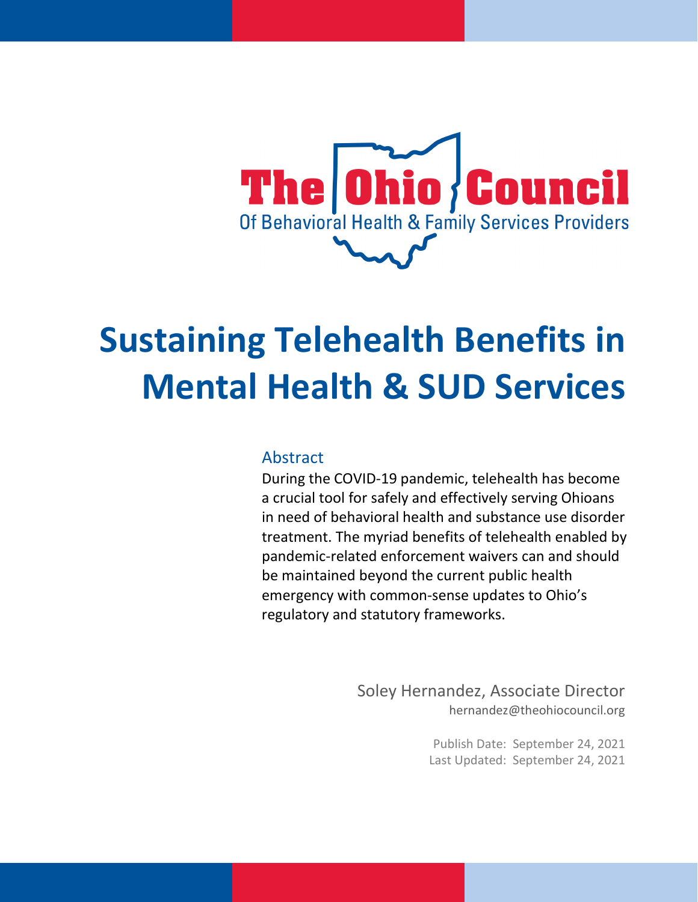

# **Sustaining Telehealth Benefits in Mental Health & SUD Services**

#### Abstract

During the COVID-19 pandemic, telehealth has become a crucial tool for safely and effectively serving Ohioans in need of behavioral health and substance use disorder treatment. The myriad benefits of telehealth enabled by pandemic-related enforcement waivers can and should be maintained beyond the current public health emergency with common-sense updates to Ohio's regulatory and statutory frameworks.

> Soley Hernandez, Associate Director hernandez@theohiocouncil.org

> > Publish Date: September 24, 2021 Last Updated: September 24, 2021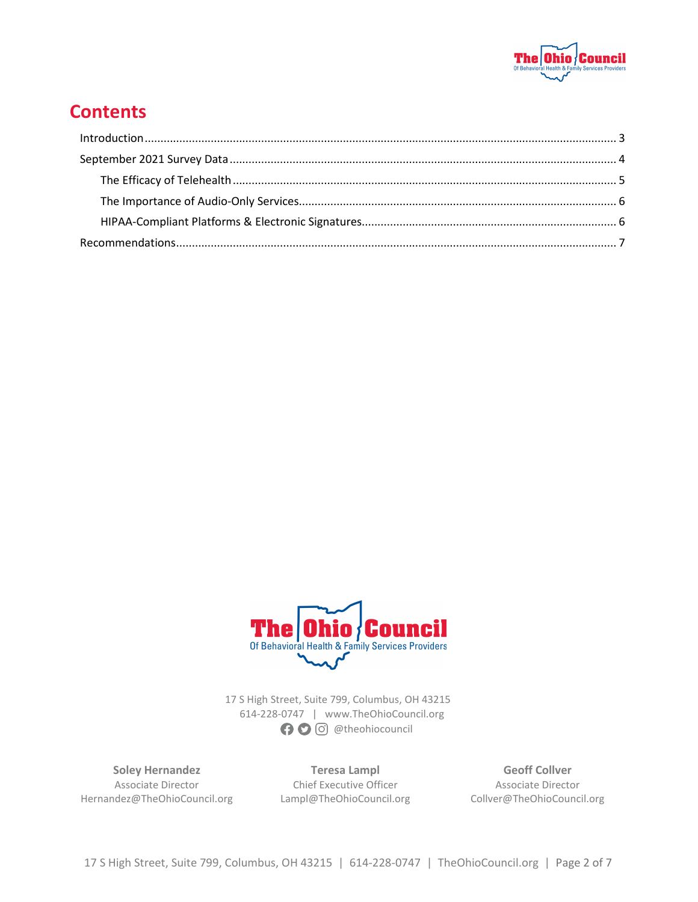

### **Contents**



17 S High Street, Suite 799, Columbus, OH 43215 614-228-0747 | www.TheOhioCouncil.org **O** O @theohiocouncil

**Soley Hernandez** Associate Director Hernandez@TheOhioCouncil.org

**Teresa Lampl** Chief Executive Officer Lampl@TheOhioCouncil.org

**Geoff Collver** Associate Director Collver@TheOhioCouncil.org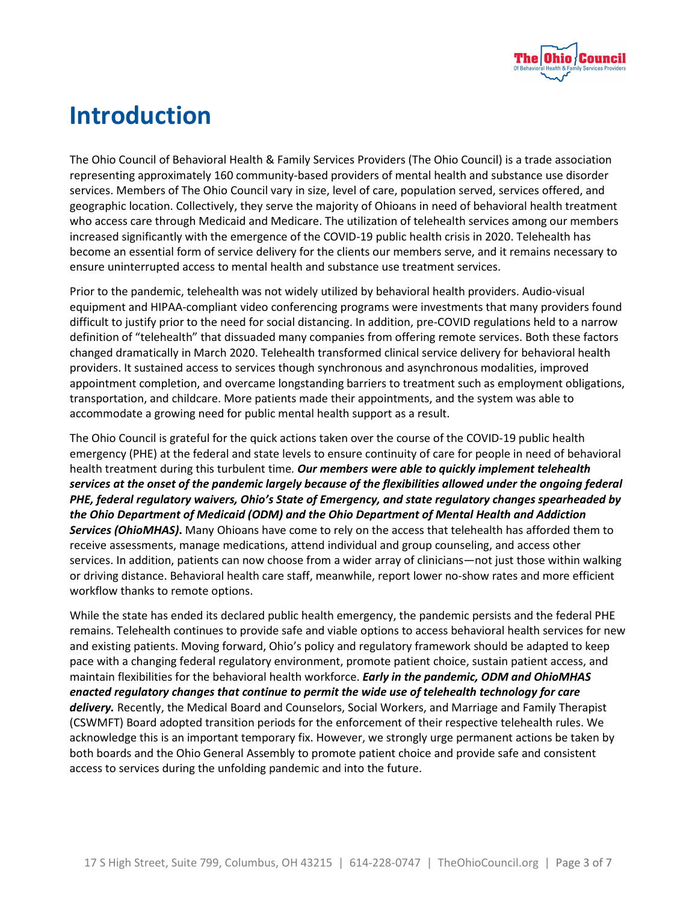

# **Introduction**

The Ohio Council of Behavioral Health & Family Services Providers (The Ohio Council) is a trade association representing approximately 160 community-based providers of mental health and substance use disorder services. Members of The Ohio Council vary in size, level of care, population served, services offered, and geographic location. Collectively, they serve the majority of Ohioans in need of behavioral health treatment who access care through Medicaid and Medicare. The utilization of telehealth services among our members increased significantly with the emergence of the COVID-19 public health crisis in 2020. Telehealth has become an essential form of service delivery for the clients our members serve, and it remains necessary to ensure uninterrupted access to mental health and substance use treatment services.

Prior to the pandemic, telehealth was not widely utilized by behavioral health providers. Audio-visual equipment and HIPAA-compliant video conferencing programs were investments that many providers found difficult to justify prior to the need for social distancing. In addition, pre-COVID regulations held to a narrow definition of "telehealth" that dissuaded many companies from offering remote services. Both these factors changed dramatically in March 2020. Telehealth transformed clinical service delivery for behavioral health providers. It sustained access to services though synchronous and asynchronous modalities, improved appointment completion, and overcame longstanding barriers to treatment such as employment obligations, transportation, and childcare. More patients made their appointments, and the system was able to accommodate a growing need for public mental health support as a result.

The Ohio Council is grateful for the quick actions taken over the course of the COVID-19 public health emergency (PHE) at the federal and state levels to ensure continuity of care for people in need of behavioral health treatment during this turbulent time*. Our members were able to quickly implement telehealth services at the onset of the pandemic largely because of the flexibilities allowed under the ongoing federal PHE, federal regulatory waivers, Ohio's State of Emergency, and state regulatory changes spearheaded by the Ohio Department of Medicaid (ODM) and the Ohio Department of Mental Health and Addiction Services (OhioMHAS)***.** Many Ohioans have come to rely on the access that telehealth has afforded them to receive assessments, manage medications, attend individual and group counseling, and access other services. In addition, patients can now choose from a wider array of clinicians—not just those within walking or driving distance. Behavioral health care staff, meanwhile, report lower no-show rates and more efficient workflow thanks to remote options.

While the state has ended its declared public health emergency, the pandemic persists and the federal PHE remains. Telehealth continues to provide safe and viable options to access behavioral health services for new and existing patients. Moving forward, Ohio's policy and regulatory framework should be adapted to keep pace with a changing federal regulatory environment, promote patient choice, sustain patient access, and maintain flexibilities for the behavioral health workforce. *Early in the pandemic, ODM and OhioMHAS enacted regulatory changes that continue to permit the wide use of telehealth technology for care delivery.* Recently, the Medical Board and Counselors, Social Workers, and Marriage and Family Therapist (CSWMFT) Board adopted transition periods for the enforcement of their respective telehealth rules. We acknowledge this is an important temporary fix. However, we strongly urge permanent actions be taken by both boards and the Ohio General Assembly to promote patient choice and provide safe and consistent access to services during the unfolding pandemic and into the future.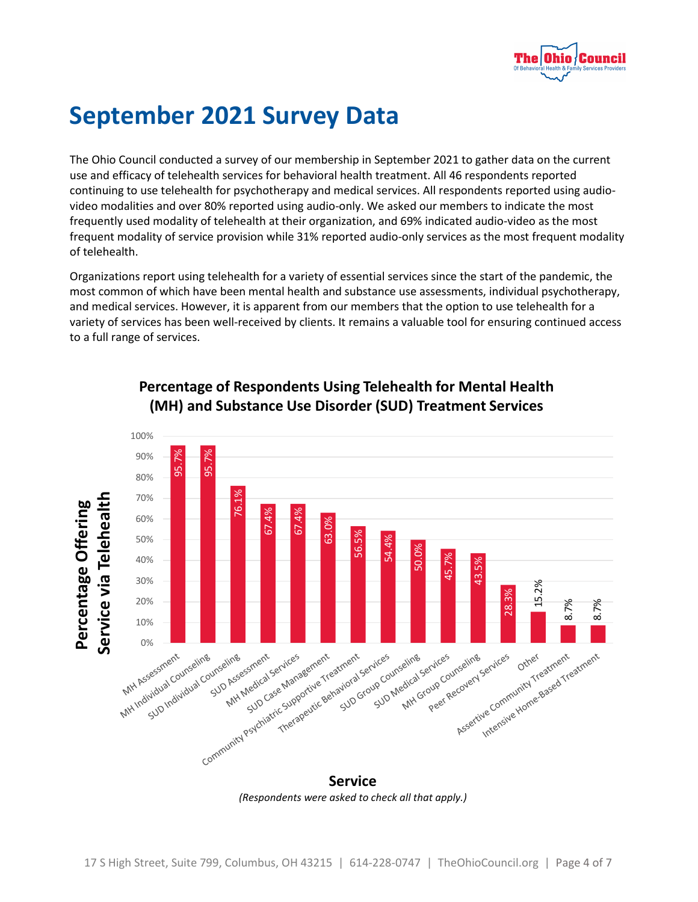

# **September 2021 Survey Data**

The Ohio Council conducted a survey of our membership in September 2021 to gather data on the current use and efficacy of telehealth services for behavioral health treatment. All 46 respondents reported continuing to use telehealth for psychotherapy and medical services. All respondents reported using audiovideo modalities and over 80% reported using audio-only. We asked our members to indicate the most frequently used modality of telehealth at their organization, and 69% indicated audio-video as the most frequent modality of service provision while 31% reported audio-only services as the most frequent modality of telehealth.

Organizations report using telehealth for a variety of essential services since the start of the pandemic, the most common of which have been mental health and substance use assessments, individual psychotherapy, and medical services. However, it is apparent from our members that the option to use telehealth for a variety of services has been well-received by clients. It remains a valuable tool for ensuring continued access to a full range of services.



#### **Percentage of Respondents Using Telehealth for Mental Health (MH) and Substance Use Disorder (SUD) Treatment Services**

*(Respondents were asked to check all that apply.)*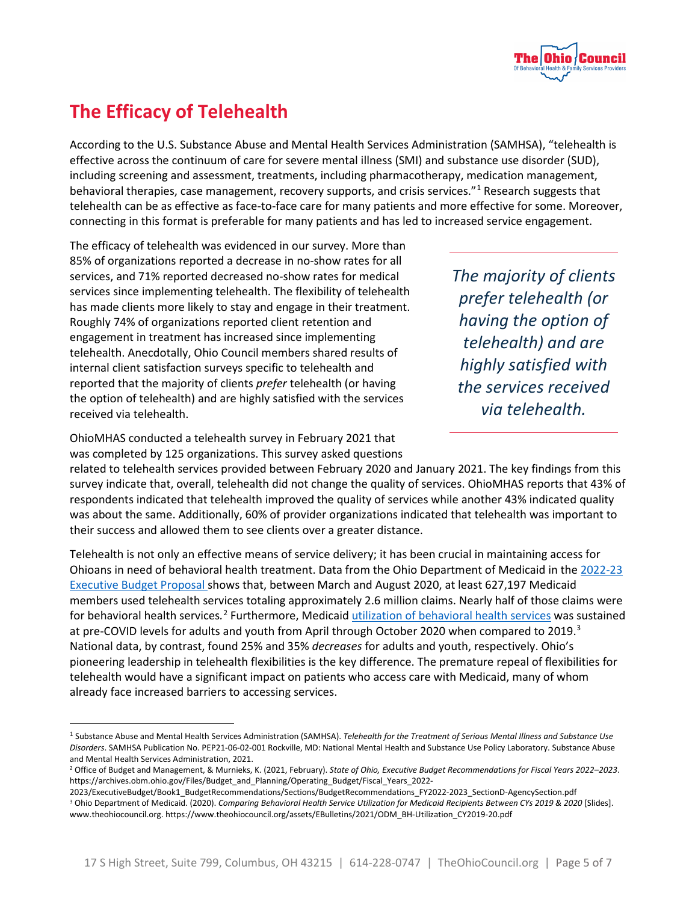

## <span id="page-5-0"></span>**The Efficacy of Telehealth**

According to the U.S. Substance Abuse and Mental Health Services Administration (SAMHSA), "telehealth is effective across the continuum of care for severe mental illness (SMI) and substance use disorder (SUD), including screening and assessment, treatments, including pharmacotherapy, medication management, behavioral therapies, case management, recovery supports, and crisis services."[1](#page-5-1) Research suggests that telehealth can be as effective as face-to-face care for many patients and more effective for some. Moreover, connecting in this format is preferable for many patients and has led to increased service engagement.

The efficacy of telehealth was evidenced in our survey. More than 85% of organizations reported a decrease in no-show rates for all services, and 71% reported decreased no-show rates for medical services since implementing telehealth. The flexibility of telehealth has made clients more likely to stay and engage in their treatment. Roughly 74% of organizations reported client retention and engagement in treatment has increased since implementing telehealth. Anecdotally, Ohio Council members shared results of internal client satisfaction surveys specific to telehealth and reported that the majority of clients *prefer* telehealth (or having the option of telehealth) and are highly satisfied with the services received via telehealth.

*The majority of clients prefer telehealth (or having the option of telehealth) and are highly satisfied with the services received via telehealth.*

OhioMHAS conducted a telehealth survey in February 2021 that was completed by 125 organizations. This survey asked questions

related to telehealth services provided between February 2020 and January 2021. The key findings from this survey indicate that, overall, telehealth did not change the quality of services. OhioMHAS reports that 43% of respondents indicated that telehealth improved the quality of services while another 43% indicated quality was about the same. Additionally, 60% of provider organizations indicated that telehealth was important to their success and allowed them to see clients over a greater distance.

Telehealth is not only an effective means of service delivery; it has been crucial in maintaining access for Ohioans in need of behavioral health treatment. Data from the Ohio Department of Medicaid in the [2022-23](https://archives.obm.ohio.gov/Files/Budget_and_Planning/Operating_Budget/Fiscal_Years_2022-2023/ExecutiveBudget/Book1_BudgetRecommendations/Sections/BudgetRecommendations_FY2022-2023_SectionD-AgencySection.pdf)  [Executive Budget Proposal](https://archives.obm.ohio.gov/Files/Budget_and_Planning/Operating_Budget/Fiscal_Years_2022-2023/ExecutiveBudget/Book1_BudgetRecommendations/Sections/BudgetRecommendations_FY2022-2023_SectionD-AgencySection.pdf) shows that, between March and August 2020, at least 627,197 Medicaid members used telehealth services totaling approximately 2.6 million claims. Nearly half of those claims were for behavioral health services.<sup>[2](#page-5-2)</sup> Furthermore, Medicaid *utilization of behavioral health services* was sustained at pre-COVID levels for adults and youth from April through October 2020 when compared to 2019.<sup>[3](#page-5-3)</sup> National data, by contrast, found 25% and 35% *decreases* for adults and youth, respectively. Ohio's pioneering leadership in telehealth flexibilities is the key difference. The premature repeal of flexibilities for telehealth would have a significant impact on patients who access care with Medicaid, many of whom already face increased barriers to accessing services.

<span id="page-5-3"></span>2023/ExecutiveBudget/Book1\_BudgetRecommendations/Sections/BudgetRecommendations\_FY2022-2023\_SectionD-AgencySection.pdf <sup>3</sup> Ohio Department of Medicaid. (2020). *Comparing Behavioral Health Service Utilization for Medicaid Recipients Between CYs 2019 & 2020* [Slides]. www.theohiocouncil.org. https://www.theohiocouncil.org/assets/EBulletins/2021/ODM\_BH-Utilization\_CY2019-20.pdf

<span id="page-5-1"></span><sup>1</sup> Substance Abuse and Mental Health Services Administration (SAMHSA). *Telehealth for the Treatment of Serious Mental Illness and Substance Use Disorders*. SAMHSA Publication No. PEP21-06-02-001 Rockville, MD: National Mental Health and Substance Use Policy Laboratory. Substance Abuse and Mental Health Services Administration, 2021.

<span id="page-5-2"></span><sup>2</sup> Office of Budget and Management, & Murnieks, K. (2021, February). *State of Ohio, Executive Budget Recommendations for Fiscal Years 2022–2023*. https://archives.obm.ohio.gov/Files/Budget\_and\_Planning/Operating\_Budget/Fiscal\_Years\_2022-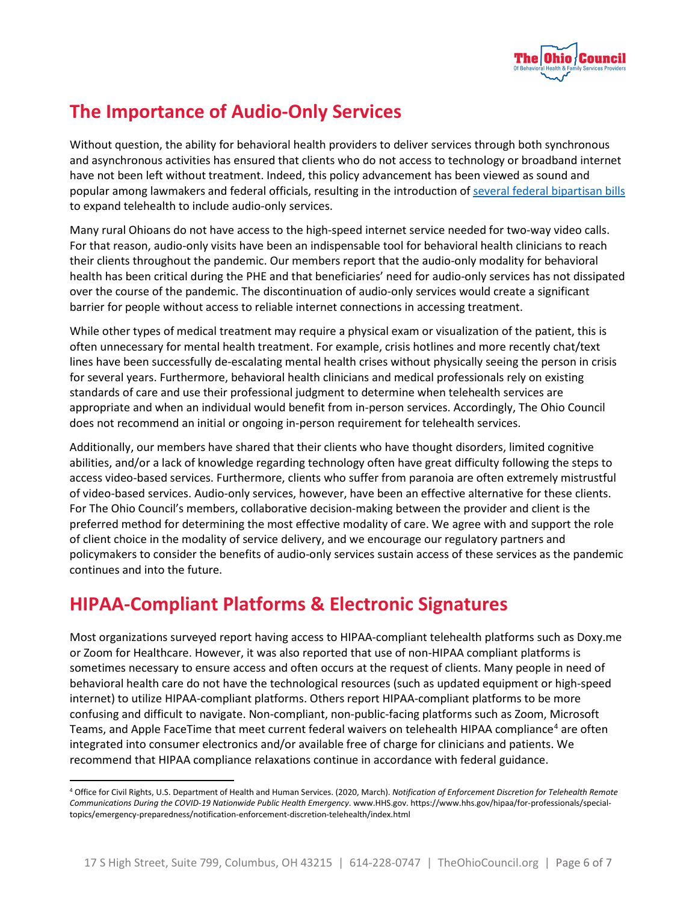

## <span id="page-6-0"></span>**The Importance of Audio-Only Services**

Without question, the ability for behavioral health providers to deliver services through both synchronous and asynchronous activities has ensured that clients who do not access to technology or broadband internet have not been left without treatment. Indeed, this policy advancement has been viewed as sound and popular among lawmakers and federal officials, resulting in the introduction of [several federal bipartisan bills](https://www.cchpca.org/federal/pending-legislation/) to expand telehealth to include audio-only services.

Many rural Ohioans do not have access to the high-speed internet service needed for two-way video calls. For that reason, audio-only visits have been an indispensable tool for behavioral health clinicians to reach their clients throughout the pandemic. Our members report that the audio-only modality for behavioral health has been critical during the PHE and that beneficiaries' need for audio-only services has not dissipated over the course of the pandemic. The discontinuation of audio-only services would create a significant barrier for people without access to reliable internet connections in accessing treatment.

While other types of medical treatment may require a physical exam or visualization of the patient, this is often unnecessary for mental health treatment. For example, crisis hotlines and more recently chat/text lines have been successfully de-escalating mental health crises without physically seeing the person in crisis for several years. Furthermore, behavioral health clinicians and medical professionals rely on existing standards of care and use their professional judgment to determine when telehealth services are appropriate and when an individual would benefit from in-person services. Accordingly, The Ohio Council does not recommend an initial or ongoing in-person requirement for telehealth services.

Additionally, our members have shared that their clients who have thought disorders, limited cognitive abilities, and/or a lack of knowledge regarding technology often have great difficulty following the steps to access video-based services. Furthermore, clients who suffer from paranoia are often extremely mistrustful of video-based services. Audio-only services, however, have been an effective alternative for these clients. For The Ohio Council's members, collaborative decision-making between the provider and client is the preferred method for determining the most effective modality of care. We agree with and support the role of client choice in the modality of service delivery, and we encourage our regulatory partners and policymakers to consider the benefits of audio-only services sustain access of these services as the pandemic continues and into the future.

### <span id="page-6-1"></span>**HIPAA-Compliant Platforms & Electronic Signatures**

Most organizations surveyed report having access to HIPAA-compliant telehealth platforms such as Doxy.me or Zoom for Healthcare. However, it was also reported that use of non-HIPAA compliant platforms is sometimes necessary to ensure access and often occurs at the request of clients. Many people in need of behavioral health care do not have the technological resources (such as updated equipment or high-speed internet) to utilize HIPAA-compliant platforms. Others report HIPAA-compliant platforms to be more confusing and difficult to navigate. Non-compliant, non-public-facing platforms such as Zoom, Microsoft Teams, and Apple FaceTime that meet current federal waivers on telehealth HIPAA compliance<sup>[4](#page-6-2)</sup> are often integrated into consumer electronics and/or available free of charge for clinicians and patients. We recommend that HIPAA compliance relaxations continue in accordance with federal guidance.

<span id="page-6-2"></span><sup>4</sup> Office for Civil Rights, U.S. Department of Health and Human Services. (2020, March). *Notification of Enforcement Discretion for Telehealth Remote Communications During the COVID-19 Nationwide Public Health Emergency*. www.HHS.gov. https://www.hhs.gov/hipaa/for-professionals/specialtopics/emergency-preparedness/notification-enforcement-discretion-telehealth/index.html